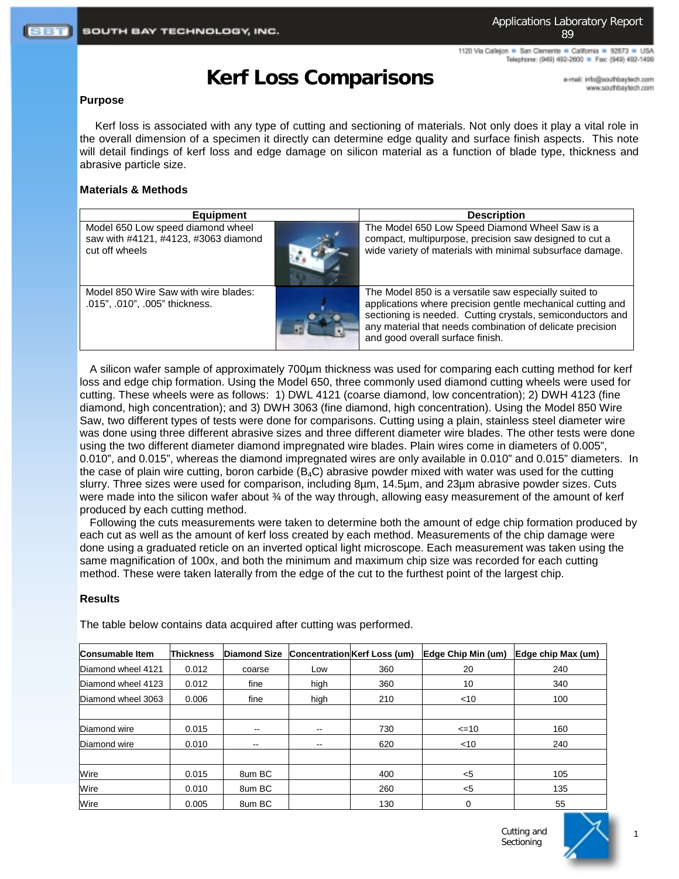1120 Via Callejon = San Clemente = California = 92673 = USA Telephone: (949) 492-2600 = Fax: (949) 492-1499

# **Kerf Loss Comparisons**

e-mail: info@southbaytech.com www.southbaytech.com

#### **Purpose**

 Kerf loss is associated with any type of cutting and sectioning of materials. Not only does it play a vital role in the overall dimension of a specimen it directly can determine edge quality and surface finish aspects. This note will detail findings of kerf loss and edge damage on silicon material as a function of blade type, thickness and abrasive particle size.

# **Materials & Methods**

| <b>Equipment</b>                                                                            | <b>Description</b>                                                                                                                                                                                                                                                                 |  |  |
|---------------------------------------------------------------------------------------------|------------------------------------------------------------------------------------------------------------------------------------------------------------------------------------------------------------------------------------------------------------------------------------|--|--|
| Model 650 Low speed diamond wheel<br>saw with #4121, #4123, #3063 diamond<br>cut off wheels | The Model 650 Low Speed Diamond Wheel Saw is a<br>compact, multipurpose, precision saw designed to cut a<br>wide variety of materials with minimal subsurface damage.                                                                                                              |  |  |
| Model 850 Wire Saw with wire blades:<br>.015", .010", .005" thickness.                      | The Model 850 is a versatile saw especially suited to<br>applications where precision gentle mechanical cutting and<br>sectioning is needed. Cutting crystals, semiconductors and<br>any material that needs combination of delicate precision<br>and good overall surface finish. |  |  |

A silicon wafer sample of approximately 700µm thickness was used for comparing each cutting method for kerf loss and edge chip formation. Using the Model 650, three commonly used diamond cutting wheels were used for cutting. These wheels were as follows: 1) DWL 4121 (coarse diamond, low concentration); 2) DWH 4123 (fine diamond, high concentration); and 3) DWH 3063 (fine diamond, high concentration). Using the Model 850 Wire Saw, two different types of tests were done for comparisons. Cutting using a plain, stainless steel diameter wire was done using three different abrasive sizes and three different diameter wire blades. The other tests were done using the two different diameter diamond impregnated wire blades. Plain wires come in diameters of 0.005", 0.010", and 0.015", whereas the diamond impregnated wires are only available in 0.010" and 0.015" diameters. In the case of plain wire cutting, boron carbide ( $B_4C$ ) abrasive powder mixed with water was used for the cutting slurry. Three sizes were used for comparison, including 8µm, 14.5µm, and 23µm abrasive powder sizes. Cuts were made into the silicon wafer about 34 of the way through, allowing easy measurement of the amount of kerf produced by each cutting method.

Following the cuts measurements were taken to determine both the amount of edge chip formation produced by each cut as well as the amount of kerf loss created by each method. Measurements of the chip damage were done using a graduated reticle on an inverted optical light microscope. Each measurement was taken using the same magnification of 100x, and both the minimum and maximum chip size was recorded for each cutting method. These were taken laterally from the edge of the cut to the furthest point of the largest chip.

# **Results**

| Consumable Item    | Thickness | <b>Diamond Size</b> |      | <b>Concentration Kerf Loss (um)</b> | Edge Chip Min (um) | Edge chip Max (um) |
|--------------------|-----------|---------------------|------|-------------------------------------|--------------------|--------------------|
| Diamond wheel 4121 | 0.012     | coarse              | Low  | 360                                 | 20                 | 240                |
| Diamond wheel 4123 | 0.012     | fine                | high | 360                                 | 10                 | 340                |
| Diamond wheel 3063 | 0.006     | fine                | high | 210                                 | $<$ 10             | 100                |
|                    |           |                     |      |                                     |                    |                    |
| Diamond wire       | 0.015     | --                  |      | 730                                 | $\leq$ =10         | 160                |
| Diamond wire       | 0.010     | --                  | --   | 620                                 | $<$ 10             | 240                |
|                    |           |                     |      |                                     |                    |                    |
| Wire               | 0.015     | 8um BC              |      | 400                                 | $<$ 5              | 105                |
| Wire               | 0.010     | 8um BC              |      | 260                                 | $5$                | 135                |
| Wire               | 0.005     | 8um BC              |      | 130                                 | $\Omega$           | 55                 |

The table below contains data acquired after cutting was performed.

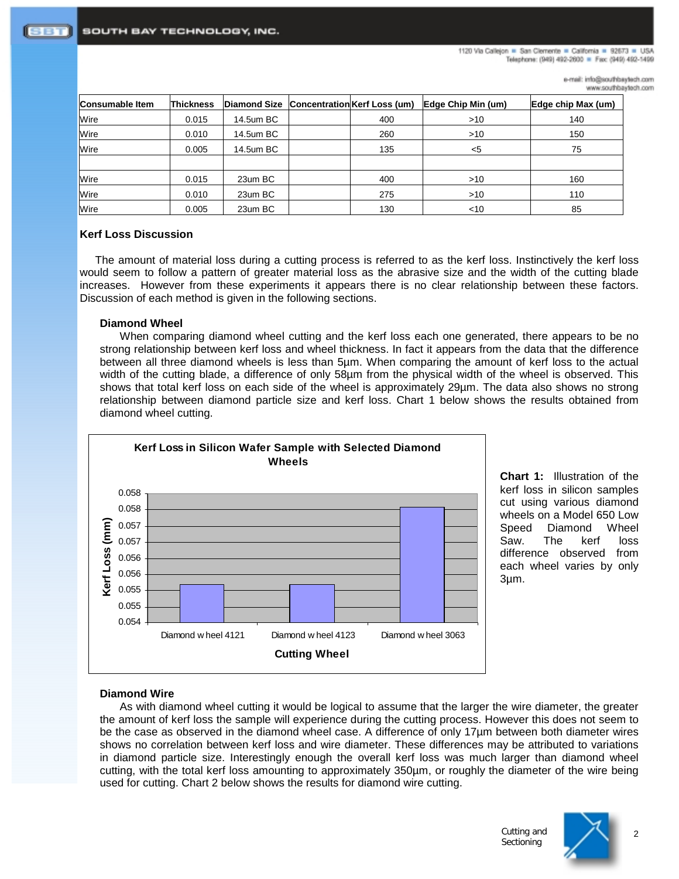e-mail: info@southbaytech.com www.southbaytech.com

| <b>Consumable Item</b> | <b>Thickness</b> |           | Diamond Size Concentration Kerf Loss (um) | Edge Chip Min (um) | Edge chip Max (um) |
|------------------------|------------------|-----------|-------------------------------------------|--------------------|--------------------|
| Wire                   | 0.015            | 14.5um BC | 400                                       | >10                | 140                |
| Wire                   | 0.010            | 14.5um BC | 260                                       | >10                | 150                |
| Wire                   | 0.005            | 14.5um BC | 135                                       | $<$ 5              | 75                 |
|                        |                  |           |                                           |                    |                    |
| Wire                   | 0.015            | 23um BC   | 400                                       | >10                | 160                |
| Wire                   | 0.010            | 23um BC   | 275                                       | $>10$              | 110                |
| Wire                   | 0.005            | 23um BC   | 130                                       | $<$ 10             | 85                 |

### **Kerf Loss Discussion**

 The amount of material loss during a cutting process is referred to as the kerf loss. Instinctively the kerf loss would seem to follow a pattern of greater material loss as the abrasive size and the width of the cutting blade increases. However from these experiments it appears there is no clear relationship between these factors. Discussion of each method is given in the following sections.

#### **Diamond Wheel**

When comparing diamond wheel cutting and the kerf loss each one generated, there appears to be no strong relationship between kerf loss and wheel thickness. In fact it appears from the data that the difference between all three diamond wheels is less than 5µm. When comparing the amount of kerf loss to the actual width of the cutting blade, a difference of only 58µm from the physical width of the wheel is observed. This shows that total kerf loss on each side of the wheel is approximately 29µm. The data also shows no strong relationship between diamond particle size and kerf loss. Chart 1 below shows the results obtained from diamond wheel cutting.



**Chart 1:** Illustration of the kerf loss in silicon samples cut using various diamond wheels on a Model 650 Low Speed Diamond Wheel Saw. The kerf loss difference observed from each wheel varies by only 3µm.

#### **Diamond Wire**

As with diamond wheel cutting it would be logical to assume that the larger the wire diameter, the greater the amount of kerf loss the sample will experience during the cutting process. However this does not seem to be the case as observed in the diamond wheel case. A difference of only 17µm between both diameter wires shows no correlation between kerf loss and wire diameter. These differences may be attributed to variations in diamond particle size. Interestingly enough the overall kerf loss was much larger than diamond wheel cutting, with the total kerf loss amounting to approximately 350µm, or roughly the diameter of the wire being used for cutting. Chart 2 below shows the results for diamond wire cutting.

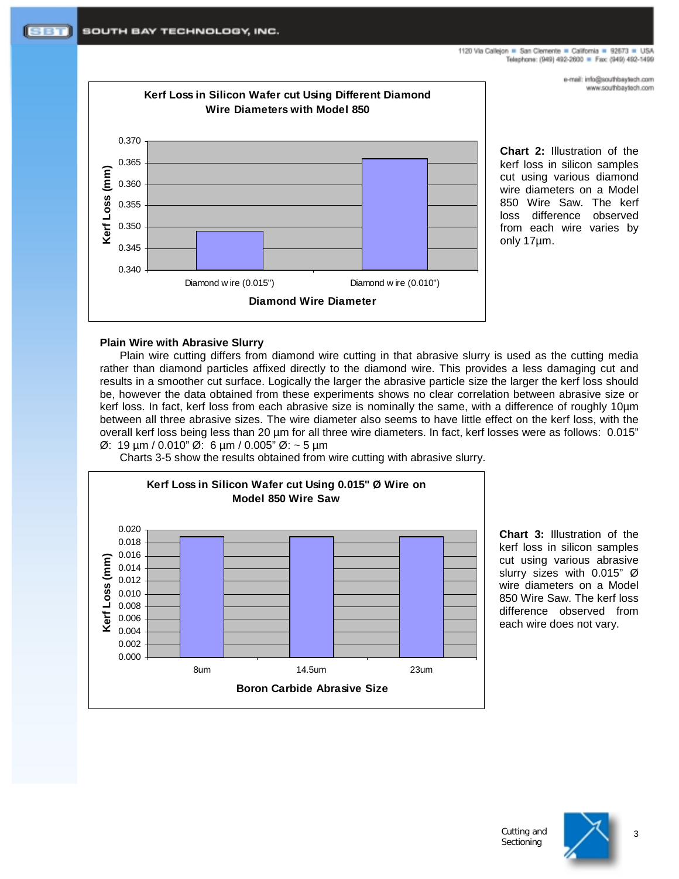e-mail: info@southbaytech.com www.southbaytech.com



**Chart 2:** Illustration of the kerf loss in silicon samples cut using various diamond wire diameters on a Model 850 Wire Saw. The kerf loss difference observed from each wire varies by only 17µm.

# **Plain Wire with Abrasive Slurry**

Plain wire cutting differs from diamond wire cutting in that abrasive slurry is used as the cutting media rather than diamond particles affixed directly to the diamond wire. This provides a less damaging cut and results in a smoother cut surface. Logically the larger the abrasive particle size the larger the kerf loss should be, however the data obtained from these experiments shows no clear correlation between abrasive size or kerf loss. In fact, kerf loss from each abrasive size is nominally the same, with a difference of roughly 10µm between all three abrasive sizes. The wire diameter also seems to have little effect on the kerf loss, with the overall kerf loss being less than 20 µm for all three wire diameters. In fact, kerf losses were as follows: 0.015" Ø: 19 µm / 0.010" Ø: 6 µm / 0.005" Ø: ~ 5 µm

Charts 3-5 show the results obtained from wire cutting with abrasive slurry.



**Chart 3:** Illustration of the kerf loss in silicon samples cut using various abrasive slurry sizes with 0.015" Ø wire diameters on a Model 850 Wire Saw. The kerf loss difference observed from each wire does not vary.

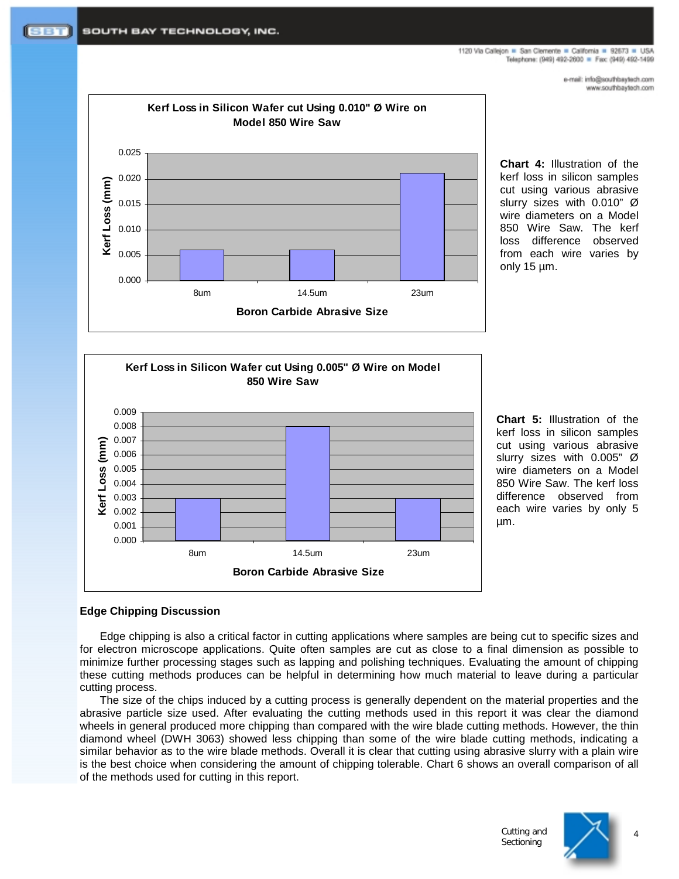1120 Via Callejon = San Clemente = California = 92673 = USA Telephone: (949) 492-2600 = Fax: (949) 492-1499

> e-mail: info@southbaytech.com www.southbaytech.com



**Chart 4:** Illustration of the kerf loss in silicon samples cut using various abrasive slurry sizes with 0.010" Ø wire diameters on a Model 850 Wire Saw. The kerf loss difference observed from each wire varies by only 15 µm.



**Chart 5:** Illustration of the kerf loss in silicon samples cut using various abrasive slurry sizes with 0.005" Ø wire diameters on a Model 850 Wire Saw. The kerf loss difference observed from each wire varies by only 5 µm.

# **Edge Chipping Discussion**

Edge chipping is also a critical factor in cutting applications where samples are being cut to specific sizes and for electron microscope applications. Quite often samples are cut as close to a final dimension as possible to minimize further processing stages such as lapping and polishing techniques. Evaluating the amount of chipping these cutting methods produces can be helpful in determining how much material to leave during a particular cutting process.

The size of the chips induced by a cutting process is generally dependent on the material properties and the abrasive particle size used. After evaluating the cutting methods used in this report it was clear the diamond wheels in general produced more chipping than compared with the wire blade cutting methods. However, the thin diamond wheel (DWH 3063) showed less chipping than some of the wire blade cutting methods, indicating a similar behavior as to the wire blade methods. Overall it is clear that cutting using abrasive slurry with a plain wire is the best choice when considering the amount of chipping tolerable. Chart 6 shows an overall comparison of all of the methods used for cutting in this report.